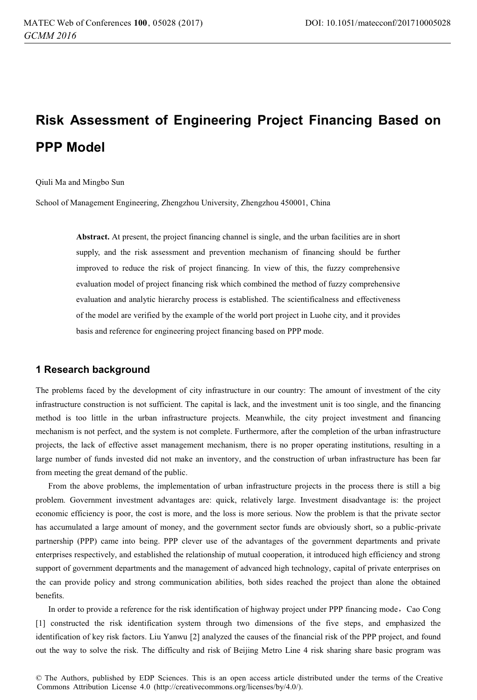# **Risk Assessment of Engineering Project Financing Based on PPP Model**

Qiuli Ma and Mingbo Sun

School of Management Engineering, Zhengzhou University, Zhengzhou 450001, China

**Abstract.** At present, the project financing channel is single, and the urban facilities are in short supply, and the risk assessment and prevention mechanism of financing should be further improved to reduce the risk of project financing. In view of this, the fuzzy comprehensive evaluation model of project financing risk which combined the method of fuzzy comprehensive evaluation and analytic hierarchy process is established. The scientificalness and effectiveness of the model are verified by the example of the world port project in Luohe city, and it provides basis and reference for engineering project financing based on PPP mode.

## **1 Research background**

The problems faced by the development of city infrastructure in our country: The amount of investment of the city infrastructure construction is not sufficient. The capital is lack, and the investment unit is too single, and the financing method is too little in the urban infrastructure projects. Meanwhile, the city project investment and financing mechanism is not perfect, and the system is not complete. Furthermore, after the completion of the urban infrastructure projects, the lack of effective asset management mechanism, there is no proper operating institutions, resulting in a large number of funds invested did not make an inventory, and the construction of urban infrastructure has been far from meeting the great demand of the public.

From the above problems, the implementation of urban infrastructure projects in the process there is still a big problem. Government investment advantages are: quick, relatively large. Investment disadvantage is: the project economic efficiency is poor, the cost is more, and the loss is more serious. Now the problem is that the private sector has accumulated a large amount of money, and the government sector funds are obviously short, so a public-private partnership (PPP) came into being. PPP clever use of the advantages of the government departments and private enterprises respectively, and established the relationship of mutual cooperation, it introduced high efficiency and strong support of government departments and the management of advanced high technology, capital of private enterprises on the can provide policy and strong communication abilities, both sides reached the project than alone the obtained benefits.

In order to provide a reference for the risk identification of highway project under PPP financing mode, Cao Cong [1] constructed the risk identification system through two dimensions of the five steps, and emphasized the identification of key risk factors. Liu Yanwu [2] analyzed the causes of the financial risk of the PPP project, and found out the way to solve the risk. The difficulty and risk of Beijing Metro Line 4 risk sharing share basic program was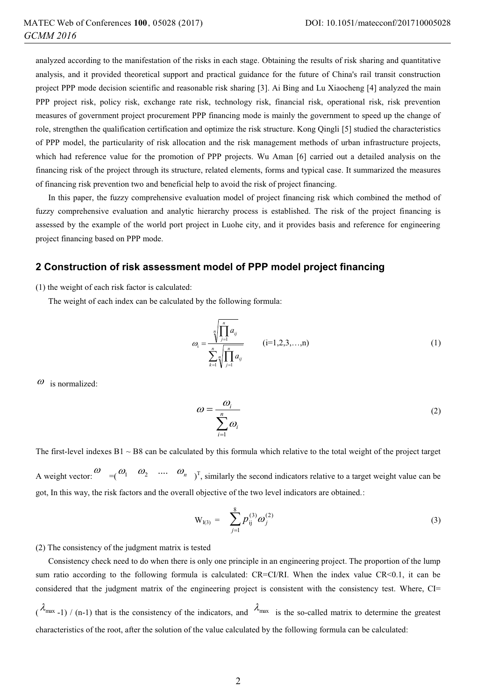analyzed according to the manifestation of the risks in each stage. Obtaining the results of risk sharing and quantitative analysis, and it provided theoretical support and practical guidance for the future of China's rail transit construction project PPP mode decision scientific and reasonable risk sharing [3]. Ai Bing and Lu Xiaocheng [4] analyzed the main PPP project risk, policy risk, exchange rate risk, technology risk, financial risk, operational risk, risk prevention measures of government project procurement PPP financing mode is mainly the government to speed up the change of role, strengthen the qualification certification and optimize the risk structure. Kong Qingli [5] studied the characteristics of PPP model, the particularity of risk allocation and the risk management methods of urban infrastructure projects, which had reference value for the promotion of PPP projects. Wu Aman [6] carried out a detailed analysis on the financing risk of the project through its structure, related elements, forms and typical case. It summarized the measures of financing risk prevention two and beneficial help to avoid the risk of project financing.

In this paper, the fuzzy comprehensive evaluation model of project financing risk which combined the method of fuzzy comprehensive evaluation and analytic hierarchy process is established. The risk of the project financing is assessed by the example of the world port project in Luohe city, and it provides basis and reference for engineering project financing based on PPP mode.

#### **2 Construction of risk assessment model of PPP model project financing**

(1) the weight of each risk factor is calculated:

The weight of each index can be calculated by the following formula:

$$
\omega_{i} = \frac{\sqrt[n]{\prod_{j=1}^{n} a_{ij}}}{\sum_{k=1}^{n} \sqrt{\prod_{j=1}^{n} a_{ij}}} \qquad (i=1,2,3,...,n)
$$
\n(1)

 $\omega$  is normalized:

$$
\omega = \frac{\omega_i}{\sum_{i=1}^n \omega_i} \tag{2}
$$

The first-level indexes  $B1 \sim B8$  can be calculated by this formula which relative to the total weight of the project target A weight vector:  $\begin{pmatrix} \omega & \omega_1 & \omega_2 & \dots & \omega_n \\ \omega_1 & \omega_2 & \dots & \omega_n \end{pmatrix}^T$ , similarly the second indicators relative to a target weight value can be got, In this way, the risk factors and the overall objective of the two level indicators are obtained.:

$$
W_{I(3)} = \sum_{j=1}^{8} p_{ij}^{(3)} \omega_j^{(2)}
$$
 (3)

(2) The consistency of the judgment matrix is tested

Consistency check need to do when there is only one principle in an engineering project. The proportion of the lump sum ratio according to the following formula is calculated: CR=CI/RI. When the index value CR<0.1, it can be considered that the judgment matrix of the engineering project is consistent with the consistency test. Where, CI=  $(\lambda_{\text{max}}-1)$  / (n-1) that is the consistency of the indicators, and  $\lambda_{\text{max}}$  is the so-called matrix to determine the greatest characteristics of the root, after the solution of the value calculated by the following formula can be calculated: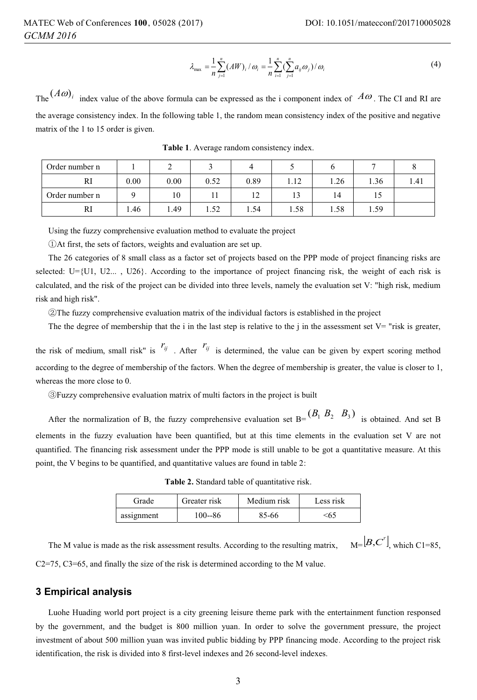$$
\lambda_{\max} = \frac{1}{n} \sum_{j=1}^{n} (AW)_i / \omega_i = \frac{1}{n} \sum_{i=1}^{n} (\sum_{j=1}^{n} a_{ij} \omega_j) / \omega_i
$$
 (4)

The  $(A\omega)_i$  index value of the above formula can be expressed as the i component index of  $A\omega$ . The CI and RI are the average consistency index. In the following table 1, the random mean consistency index of the positive and negative matrix of the 1 to 15 order is given.

| Order number n |      | -    |      |      |      |      |      |      |
|----------------|------|------|------|------|------|------|------|------|
| RI             | 0.00 | 0.00 | 0.52 | 0.89 | 1.12 | 1.26 | 1.36 | 1.41 |
| Order number n |      | 10   |      | - 12 | 13   | 14   | 15   |      |
| RI             | 1.46 | . 49 | 1.52 | 1.54 | 1.58 | 1.58 | 1.59 |      |

**Table 1**. Average random consistency index.

Using the fuzzy comprehensive evaluation method to evaluate the project

 $Q$ At first, the sets of factors, weights and evaluation are set up.

The 26 categories of 8 small class as a factor set of projects based on the PPP mode of project financing risks are selected: U={U1, U2..., U26}. According to the importance of project financing risk, the weight of each risk is calculated, and the risk of the project can be divided into three levels, namely the evaluation set V: "high risk, medium risk and high risk".

2) The fuzzy comprehensive evaluation matrix of the individual factors is established in the project

The the degree of membership that the i in the last step is relative to the i in the assessment set  $V = "risk is greater$ .

the risk of medium, small risk" is  $r_{ij}$ . After  $r_{ij}$  is determined, the value can be given by expert scoring method according to the degree of membership of the factors. When the degree of membership is greater, the value is closer to 1, whereas the more close to 0.

ĹFuzzy comprehensive evaluation matrix of multi factors in the project is built

After the normalization of B, the fuzzy comprehensive evaluation set  $B = (B_1 \ B_2 \ B_3)$  is obtained. And set B elements in the fuzzy evaluation have been quantified, but at this time elements in the evaluation set V are not quantified. The financing risk assessment under the PPP mode is still unable to be got a quantitative measure. At this point, the V begins to be quantified, and quantitative values are found in table 2:

**Table 2.** Standard table of quantitative risk.

| Grade      | Greater risk | Medium risk | Less risk |
|------------|--------------|-------------|-----------|
| assignment | 100--86      | 85-66       | -65       |

The M value is made as the risk assessment results. According to the resulting matrix,  $_{\text{M}=\left[ B,C^{\prime}\right] }$  which C1=85.

C2=75, C3=65, and finally the size of the risk is determined according to the M value.

## **3 Empirical analysis**

Luohe Huading world port project is a city greening leisure theme park with the entertainment function responsed by the government, and the budget is 800 million yuan. In order to solve the government pressure, the project investment of about 500 million yuan was invited public bidding by PPP financing mode. According to the project risk identification, the risk is divided into 8 first-level indexes and 26 second-level indexes.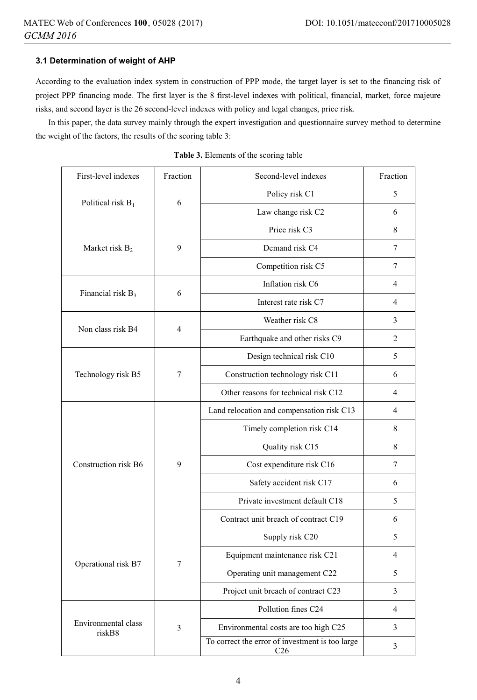# **3.1 Determination of weight of AHP**

According to the evaluation index system in construction of PPP mode, the target layer is set to the financing risk of project PPP financing mode. The first layer is the 8 first-level indexes with political, financial, market, force majeure risks, and second layer is the 26 second-level indexes with policy and legal changes, price risk.

In this paper, the data survey mainly through the expert investigation and questionnaire survey method to determine the weight of the factors, the results of the scoring table 3:

| First-level indexes           | Fraction       | Second-level indexes                                               | Fraction       |
|-------------------------------|----------------|--------------------------------------------------------------------|----------------|
|                               | 6              | Policy risk C1                                                     | 5              |
| Political risk $B_1$          |                | Law change risk C2                                                 | 6              |
|                               |                | Price risk C3                                                      | 8              |
| Market risk B <sub>2</sub>    | 9              | Demand risk C4                                                     | 7              |
|                               |                | Competition risk C5                                                | 7              |
| Financial risk B <sub>3</sub> | 6              | Inflation risk C6                                                  | 4              |
|                               |                | Interest rate risk C7                                              | 4              |
| Non class risk B4             | $\overline{4}$ | Weather risk C8                                                    | 3              |
|                               |                | Earthquake and other risks C9                                      | $\overline{2}$ |
|                               |                | Design technical risk C10                                          | 5              |
| Technology risk B5            | 7              | Construction technology risk C11                                   | 6              |
|                               |                | Other reasons for technical risk C12                               | $\overline{4}$ |
|                               |                | Land relocation and compensation risk C13                          | 4              |
|                               |                | Timely completion risk C14                                         | 8              |
|                               | 9              | Quality risk C15                                                   | 8              |
| Construction risk B6          |                | Cost expenditure risk C16                                          | 7              |
|                               |                | Safety accident risk C17                                           | 6              |
|                               |                | Private investment default C18                                     | 5              |
|                               |                | Contract unit breach of contract C19                               | 6              |
|                               |                | Supply risk C20                                                    | 5              |
|                               | 7              | Equipment maintenance risk C21                                     | $\overline{4}$ |
| Operational risk B7           |                | Operating unit management C22                                      | 5              |
|                               |                | Project unit breach of contract C23                                | 3              |
|                               |                | Pollution fines C24                                                | $\overline{4}$ |
| Environmental class<br>riskB8 | 3              | Environmental costs are too high C25                               | 3              |
|                               |                | To correct the error of investment is too large<br>C <sub>26</sub> | 3              |

**Table 3.** Elements of the scoring table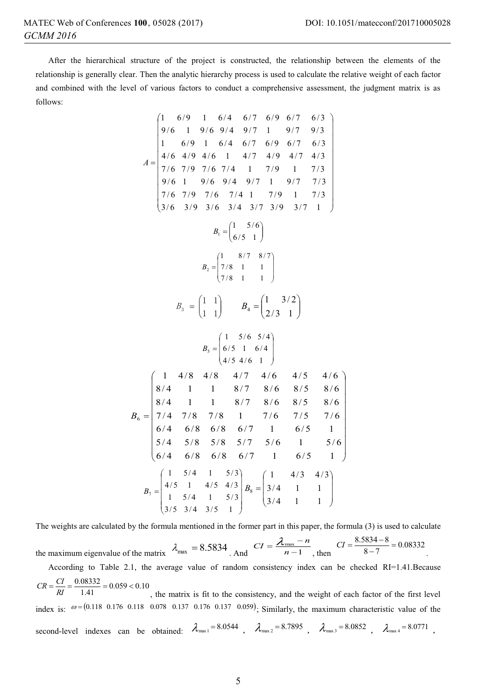$\overline{\phantom{a}}$ I I I I I  $\overline{\phantom{a}}$ I  $\overline{\phantom{a}}$ 

 $\overline{\phantom{0}}$ 

J

After the hierarchical structure of the project is constructed, the relationship between the elements of the relationship is generally clear. Then the analytic hierarchy process is used to calculate the relative weight of each factor and combined with the level of various factors to conduct a comprehensive assessment, the judgment matrix is as follows:

$$
A = \begin{pmatrix} 1 & 6/9 & 1 & 6/4 & 6/7 & 6/9 & 6/7 & 6/3 \\ 9/6 & 1 & 9/6 & 9/4 & 9/7 & 1 & 9/7 & 9/3 \\ 1 & 6/9 & 1 & 6/4 & 6/7 & 6/9 & 6/7 & 6/3 \\ 7/6 & 7/9 & 7/6 & 7/4 & 1 & 7/9 & 1 & 7/3 \\ 9/6 & 1 & 9/6 & 9/4 & 9/7 & 1 & 9/7 & 7/3 \\ 7/6 & 7/9 & 7/6 & 7/4 & 1 & 7/9 & 1 & 7/3 \\ 3/6 & 3/9 & 3/6 & 3/4 & 3/7 & 3/9 & 3/7 & 1 \end{pmatrix}
$$

$$
B_1 = \begin{pmatrix} 1 & 5/6 \\ 6/5 & 1 \end{pmatrix}
$$

$$
B_2 = \begin{pmatrix} 1 & 8/7 & 8/7 \\ 7/8 & 1 & 1 \end{pmatrix}
$$

$$
B_3 = \begin{pmatrix} 1 & 1 \\ 1 & 1 \end{pmatrix}
$$

$$
B_4 = \begin{pmatrix} 1 & 3/2 \\ 2/3 & 1 \end{pmatrix}
$$

$$
B_6 = \begin{pmatrix} 1 & 4/8 & 4/8 & 4/7 & 4/6 & 4/5 & 4/6 \\ 6/4 & 1 & 1 & 8/7 & 8/6 & 8/5 & 8/6 \\ 8/4 & 1 & 1 & 8/7 & 8/6 & 8/5 & 8/6 \\ 8/4 & 1 & 1 & 8/7 & 8/6 & 8/5 & 8/6 \\ 8/4 & 1 & 1 & 8/7 & 8/6 & 8/5 & 8/6 \\ 6/4 & 6/8 & 6/8 & 6/7 & 1 & 6/5 & 1 \\ 5/4 & 5/8 & 5/8 & 5/7 & 5/6 & 1 & 5/6 \\ 6/4 & 6/8 & 6/8 & 6/7 & 1 & 6/5 & 1 \\ 1 & 5/4 & 1 & 5/3 \\ 3/5 & 3/4 & 3/5 & 1 \end{pmatrix}
$$

$$
B_7 = \begin{pmatrix} 1 & 4/3 & 4/
$$

The weights are calculated by the formula mentioned in the former part in this paper, the formula (3) is used to calculate

the maximum eigenvalue of the matrix  $\lambda_{\text{max}} = 8.5834$  . And  $CI = \frac{\lambda_{\text{max}} - n}{n - 1}$ , then  $CI = \frac{8.5834 - 8}{8 - 7} = 0.08332$ .

According to Table 2.1, the average value of random consistency index can be checked RI=1.41.Because  $CR = \frac{CI}{RI} = \frac{0.08332}{1.41} = 0.059 < 0.10$ 

, the matrix is fit to the consistency, and the weight of each factor of the first level index is:  $\omega = (0.118 \quad 0.176 \quad 0.118 \quad 0.078 \quad 0.137 \quad 0.176 \quad 0.137 \quad 0.059)$ ; Similarly, the maximum characteristic value of the second-level indexes can be obtained:  $\lambda_{\text{max1}} = 8.0544$ ,  $\lambda_{\text{max2}} = 8.7895$ ,  $\lambda_{\text{max3}} = 8.0852$ ,  $\lambda_{\text{max4}} = 8.0771$ .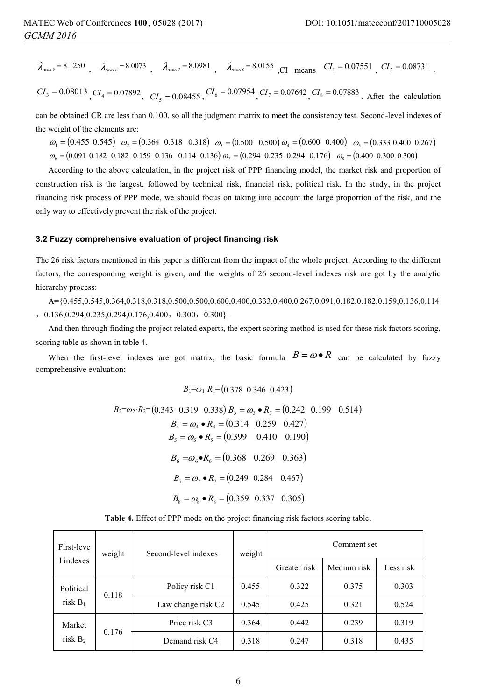$\lambda_{\text{max}}$   $= 8.1250$   $\lambda_{\text{max}}$   $= 8.0073$   $\lambda_{\text{max}}$   $= 8.0981$   $\lambda_{\text{max}}$   $= 8.0155$   $\text{CI}$  means  $CI_1 = 0.07551$   $CI_2 = 0.08731$   $\text{CI}$ 

 $CI_3 = 0.08013$ ,  $CI_4 = 0.07892$ ,  $CI_5 = 0.08455$ ,  $CI_6 = 0.07954$ ,  $CI_7 = 0.07642$ ,  $CI_8 = 0.07883$ . After the calculation

can be obtained CR are less than 0.100, so all the judgment matrix to meet the consistency test. Second-level indexes of the weight of the elements are:

 $\omega_1 = (0.455 \ 0.545) \ \omega_2 = (0.364 \ 0.318 \ 0.318) \ \omega_3 = (0.500 \ 0.500) \omega_4 = (0.600 \ 0.400) \ \omega_5 = (0.333 \ 0.400 \ 0.267)$  $\omega_{6} = (0.091 \ 0.182 \ 0.182 \ 0.159 \ 0.136 \ 0.114 \ 0.136)\ \omega_{7} = (0.294 \ 0.235 \ 0.294 \ 0.176)\ \omega_{8} = (0.400 \ 0.300 \ 0.300)\ \omega_{9} = (0.400 \ 0.182 \ 0.182 \ 0.136)\ \omega_{10} = (0.400 \ 0.182 \ 0.182 \ 0.136)\ \omega_{11} = (0.400 \ 0.182 \ 0.182 \ 0.136)\$ 

According to the above calculation, in the project risk of PPP financing model, the market risk and proportion of construction risk is the largest, followed by technical risk, financial risk, political risk. In the study, in the project financing risk process of PPP mode, we should focus on taking into account the large proportion of the risk, and the only way to effectively prevent the risk of the project.

## **3.2 Fuzzy comprehensive evaluation of project financing risk**

The 26 risk factors mentioned in this paper is different from the impact of the whole project. According to the different factors, the corresponding weight is given, and the weights of 26 second-level indexes risk are got by the analytic hierarchy process:

A={0.455,0.545,0.364,0.318,0.318,0.500,0.500,0.600,0.400,0.333,0.400,0.267,0.091,0.182,0.182,0.159,0.136,0.114  $0.136,0.294,0.235,0.294,0.176,0.400, 0.300, 0.300$ .

And then through finding the project related experts, the expert scoring method is used for these risk factors scoring, scoring table as shown in table 4.

When the first-level indexes are got matrix, the basic formula  $B = \omega \cdot R$  can be calculated by fuzzy comprehensive evaluation:

$$
B_1 = \omega_1 \cdot R_1 = (0.378 \ 0.346 \ 0.423)
$$

$$
B_2 = \omega_2 \cdot R_2 = (0.343 \quad 0.319 \quad 0.338) \ B_3 = \omega_3 \bullet R_3 = (0.242 \quad 0.199 \quad 0.514)
$$
  
\n
$$
B_4 = \omega_4 \bullet R_4 = (0.314 \quad 0.259 \quad 0.427)
$$
  
\n
$$
B_5 = \omega_5 \bullet R_5 = (0.399 \quad 0.410 \quad 0.190)
$$
  
\n
$$
B_6 = \omega_6 \bullet R_6 = (0.368 \quad 0.269 \quad 0.363)
$$
  
\n
$$
B_7 = \omega_7 \bullet R_7 = (0.249 \quad 0.284 \quad 0.467)
$$
  
\n
$$
B_8 = \omega_8 \bullet R_8 = (0.359 \quad 0.337 \quad 0.305)
$$

| First-leve<br>1 indexes | weight | Second-level indexes | weight | Comment set  |             |           |
|-------------------------|--------|----------------------|--------|--------------|-------------|-----------|
|                         |        |                      |        | Greater risk | Medium risk | Less risk |
| Political<br>risk $B_1$ | 0.118  | Policy risk C1       | 0.455  | 0.322        | 0.375       | 0.303     |
|                         |        | Law change risk C2   | 0.545  | 0.425        | 0.321       | 0.524     |
| Market<br>risk $B_2$    | 0.176  | Price risk C3        | 0.364  | 0.442        | 0.239       | 0.319     |
|                         |        | Demand risk C4       | 0.318  | 0.247        | 0.318       | 0.435     |

**Table 4.** Effect of PPP mode on the project financing risk factors scoring table.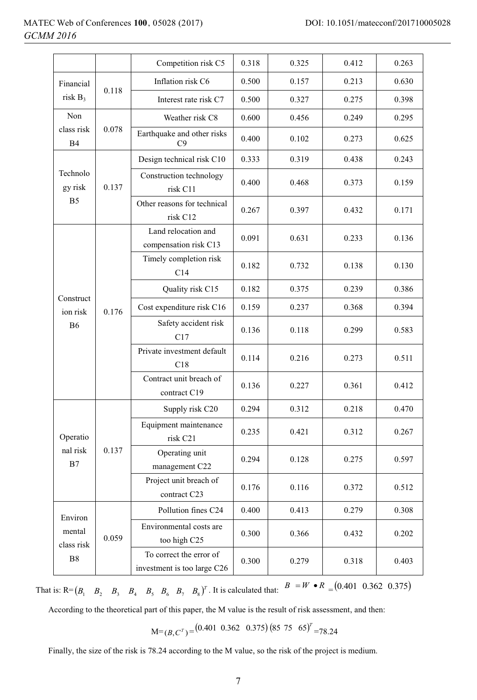|                                       |                 | Competition risk C5                                    | 0.318 | 0.325 | 0.412 | 0.263 |
|---------------------------------------|-----------------|--------------------------------------------------------|-------|-------|-------|-------|
| Financial                             |                 | Inflation risk C6                                      | 0.500 | 0.157 | 0.213 | 0.630 |
| risk $B_3$                            | 0.118           | Interest rate risk C7                                  | 0.500 | 0.327 | 0.275 | 0.398 |
| Non                                   | Weather risk C8 | 0.600                                                  | 0.456 | 0.249 | 0.295 |       |
| class risk<br>0.078<br><b>B4</b>      |                 | Earthquake and other risks<br>C9                       | 0.400 | 0.102 | 0.273 | 0.625 |
| Technolo<br>gy risk                   |                 | Design technical risk C10                              | 0.333 | 0.319 | 0.438 | 0.243 |
|                                       | 0.137           | Construction technology<br>risk C11                    | 0.400 | 0.468 | 0.373 | 0.159 |
| B <sub>5</sub>                        |                 | Other reasons for technical<br>risk C12                | 0.267 | 0.397 | 0.432 | 0.171 |
|                                       |                 | Land relocation and<br>compensation risk C13           | 0.091 | 0.631 | 0.233 | 0.136 |
|                                       |                 | Timely completion risk<br>C14                          | 0.182 | 0.732 | 0.138 | 0.130 |
|                                       |                 | Quality risk C15                                       | 0.182 | 0.375 | 0.239 | 0.386 |
| Construct<br>ion risk                 | 0.176           | Cost expenditure risk C16                              | 0.159 | 0.237 | 0.368 | 0.394 |
| <b>B6</b>                             |                 | Safety accident risk<br>C17                            | 0.136 | 0.118 | 0.299 | 0.583 |
|                                       |                 | Private investment default<br>C18                      | 0.114 | 0.216 | 0.273 | 0.511 |
|                                       |                 | Contract unit breach of<br>contract C19                | 0.136 | 0.227 | 0.361 | 0.412 |
| Operatio<br>nal risk<br>0.137<br>B7   | Supply risk C20 | 0.294                                                  | 0.312 | 0.218 | 0.470 |       |
|                                       |                 | Equipment maintenance<br>risk C21                      | 0.235 | 0.421 | 0.312 | 0.267 |
|                                       |                 | Operating unit<br>management C22                       | 0.294 | 0.128 | 0.275 | 0.597 |
|                                       |                 | Project unit breach of<br>contract C23                 | 0.176 | 0.116 | 0.372 | 0.512 |
| Environ<br>mental<br>class risk<br>B8 |                 | Pollution fines C24                                    | 0.400 | 0.413 | 0.279 | 0.308 |
|                                       | 0.059           | Environmental costs are<br>too high C25                | 0.300 | 0.366 | 0.432 | 0.202 |
|                                       |                 | To correct the error of<br>investment is too large C26 | 0.300 | 0.279 | 0.318 | 0.403 |

That is:  $R = (B_1 \ B_2 \ B_3 \ B_4 \ B_5 \ B_6 \ B_7 \ B_8)^T$ . It is calculated that:  $B = W \bullet R = (0.401 \ 0.362 \ 0.375)$ 

According to the theoretical part of this paper, the M value is the result of risk assessment, and then:

 $M=(B, C^T) = (0.401 \ 0.362 \ 0.375) (85 \ 75 \ 65)^T = 78.24$ 

Finally, the size of the risk is 78.24 according to the M value, so the risk of the project is medium.